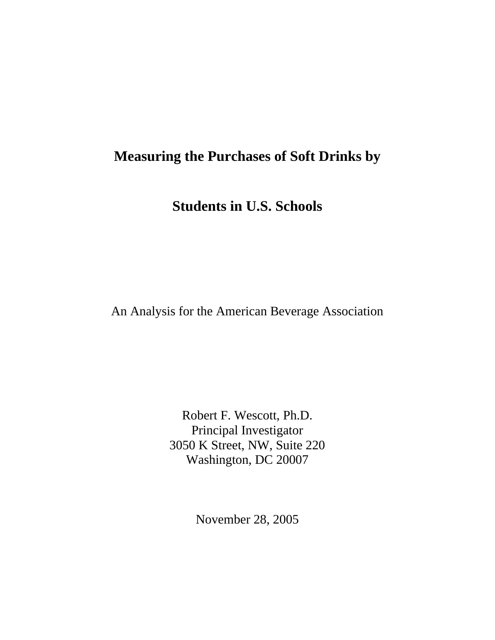# **Measuring the Purchases of Soft Drinks by**

**Students in U.S. Schools** 

An Analysis for the American Beverage Association

Robert F. Wescott, Ph.D. Principal Investigator 3050 K Street, NW, Suite 220 Washington, DC 20007

November 28, 2005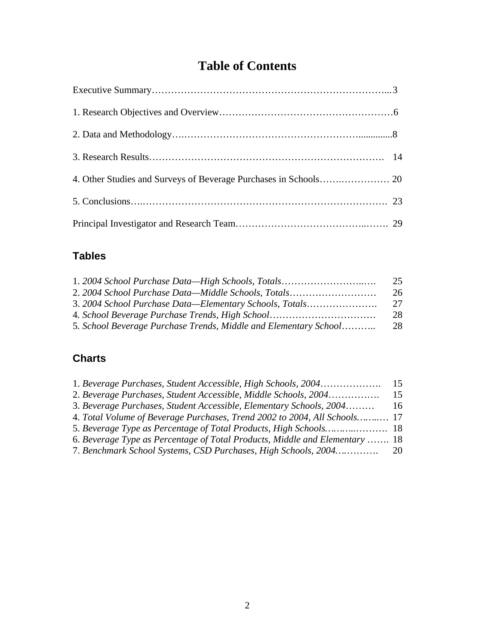# **Table of Contents**

### **Tables**

| 1. 2004 School Purchase Data-High Schools, Totals                | 25 |
|------------------------------------------------------------------|----|
| 2. 2004 School Purchase Data—Middle Schools, Totals              | 26 |
| 3. 2004 School Purchase Data—Elementary Schools, Totals          | 27 |
| 4. School Beverage Purchase Trends, High School                  | 28 |
| 5. School Beverage Purchase Trends, Middle and Elementary School | 28 |

### **Charts**

| 1. Beverage Purchases, Student Accessible, High Schools, 2004               | 15 |
|-----------------------------------------------------------------------------|----|
| 2. Beverage Purchases, Student Accessible, Middle Schools, 2004             | 15 |
| 3. Beverage Purchases, Student Accessible, Elementary Schools, 2004         | 16 |
| 4. Total Volume of Beverage Purchases, Trend 2002 to 2004, All Schools 17   |    |
|                                                                             |    |
| 6. Beverage Type as Percentage of Total Products, Middle and Elementary  18 |    |
| 7. Benchmark School Systems, CSD Purchases, High Schools, 2004              | 20 |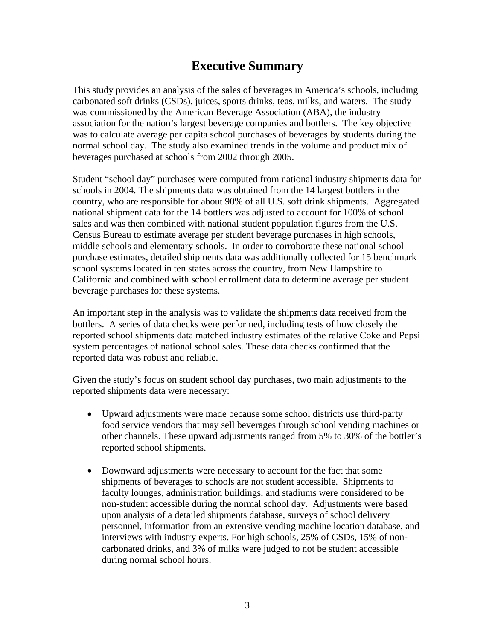## **Executive Summary**

This study provides an analysis of the sales of beverages in America's schools, including carbonated soft drinks (CSDs), juices, sports drinks, teas, milks, and waters. The study was commissioned by the American Beverage Association (ABA), the industry association for the nation's largest beverage companies and bottlers. The key objective was to calculate average per capita school purchases of beverages by students during the normal school day. The study also examined trends in the volume and product mix of beverages purchased at schools from 2002 through 2005.

Student "school day" purchases were computed from national industry shipments data for schools in 2004. The shipments data was obtained from the 14 largest bottlers in the country, who are responsible for about 90% of all U.S. soft drink shipments. Aggregated national shipment data for the 14 bottlers was adjusted to account for 100% of school sales and was then combined with national student population figures from the U.S. Census Bureau to estimate average per student beverage purchases in high schools, middle schools and elementary schools. In order to corroborate these national school purchase estimates, detailed shipments data was additionally collected for 15 benchmark school systems located in ten states across the country, from New Hampshire to California and combined with school enrollment data to determine average per student beverage purchases for these systems.

An important step in the analysis was to validate the shipments data received from the bottlers. A series of data checks were performed, including tests of how closely the reported school shipments data matched industry estimates of the relative Coke and Pepsi system percentages of national school sales. These data checks confirmed that the reported data was robust and reliable.

Given the study's focus on student school day purchases, two main adjustments to the reported shipments data were necessary:

- Upward adjustments were made because some school districts use third-party food service vendors that may sell beverages through school vending machines or other channels. These upward adjustments ranged from 5% to 30% of the bottler's reported school shipments.
- Downward adjustments were necessary to account for the fact that some shipments of beverages to schools are not student accessible. Shipments to faculty lounges, administration buildings, and stadiums were considered to be non-student accessible during the normal school day. Adjustments were based upon analysis of a detailed shipments database, surveys of school delivery personnel, information from an extensive vending machine location database, and interviews with industry experts. For high schools, 25% of CSDs, 15% of noncarbonated drinks, and 3% of milks were judged to not be student accessible during normal school hours.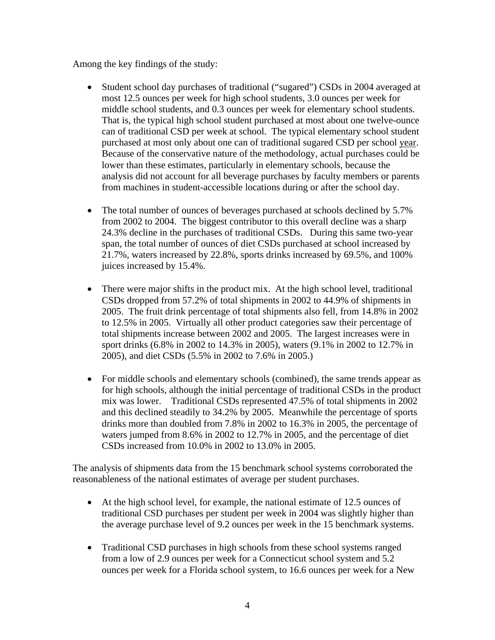Among the key findings of the study:

- Student school day purchases of traditional ("sugared") CSDs in 2004 averaged at most 12.5 ounces per week for high school students, 3.0 ounces per week for middle school students, and 0.3 ounces per week for elementary school students. That is, the typical high school student purchased at most about one twelve-ounce can of traditional CSD per week at school. The typical elementary school student purchased at most only about one can of traditional sugared CSD per school year. Because of the conservative nature of the methodology, actual purchases could be lower than these estimates, particularly in elementary schools, because the analysis did not account for all beverage purchases by faculty members or parents from machines in student-accessible locations during or after the school day.
- The total number of ounces of beverages purchased at schools declined by 5.7% from 2002 to 2004. The biggest contributor to this overall decline was a sharp 24.3% decline in the purchases of traditional CSDs. During this same two-year span, the total number of ounces of diet CSDs purchased at school increased by 21.7%, waters increased by 22.8%, sports drinks increased by 69.5%, and 100% juices increased by 15.4%.
- There were major shifts in the product mix. At the high school level, traditional CSDs dropped from 57.2% of total shipments in 2002 to 44.9% of shipments in 2005. The fruit drink percentage of total shipments also fell, from 14.8% in 2002 to 12.5% in 2005. Virtually all other product categories saw their percentage of total shipments increase between 2002 and 2005. The largest increases were in sport drinks (6.8% in 2002 to 14.3% in 2005), waters (9.1% in 2002 to 12.7% in 2005), and diet CSDs (5.5% in 2002 to 7.6% in 2005.)
- For middle schools and elementary schools (combined), the same trends appear as for high schools, although the initial percentage of traditional CSDs in the product mix was lower. Traditional CSDs represented 47.5% of total shipments in 2002 and this declined steadily to 34.2% by 2005. Meanwhile the percentage of sports drinks more than doubled from 7.8% in 2002 to 16.3% in 2005, the percentage of waters jumped from 8.6% in 2002 to 12.7% in 2005, and the percentage of diet CSDs increased from 10.0% in 2002 to 13.0% in 2005.

The analysis of shipments data from the 15 benchmark school systems corroborated the reasonableness of the national estimates of average per student purchases.

- At the high school level, for example, the national estimate of 12.5 ounces of traditional CSD purchases per student per week in 2004 was slightly higher than the average purchase level of 9.2 ounces per week in the 15 benchmark systems.
- Traditional CSD purchases in high schools from these school systems ranged from a low of 2.9 ounces per week for a Connecticut school system and 5.2 ounces per week for a Florida school system, to 16.6 ounces per week for a New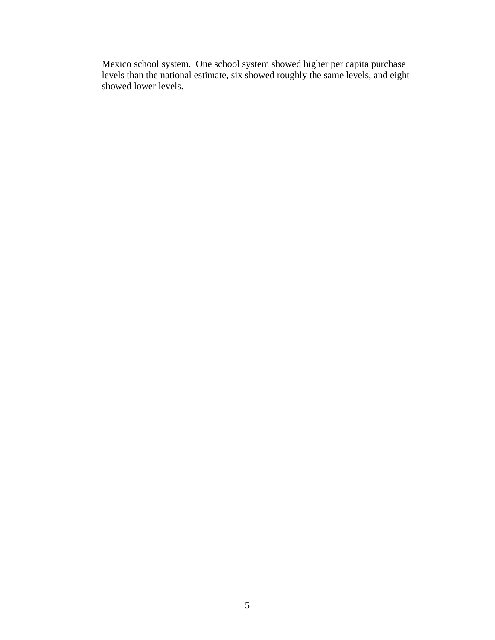Mexico school system. One school system showed higher per capita purchase levels than the national estimate, six showed roughly the same levels, and eight showed lower levels.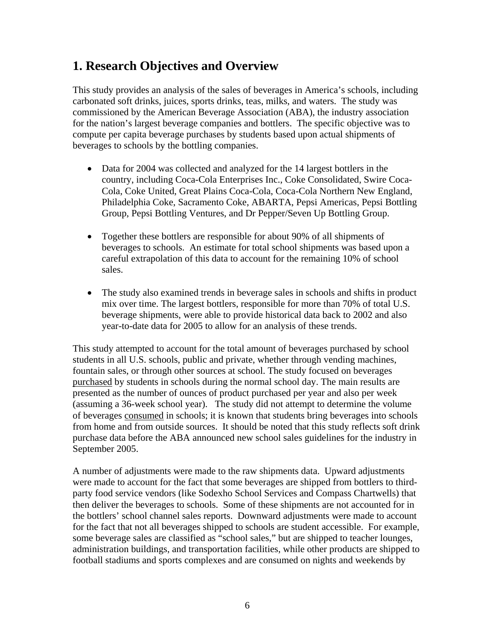## **1. Research Objectives and Overview**

This study provides an analysis of the sales of beverages in America's schools, including carbonated soft drinks, juices, sports drinks, teas, milks, and waters. The study was commissioned by the American Beverage Association (ABA), the industry association for the nation's largest beverage companies and bottlers. The specific objective was to compute per capita beverage purchases by students based upon actual shipments of beverages to schools by the bottling companies.

- Data for 2004 was collected and analyzed for the 14 largest bottlers in the country, including Coca-Cola Enterprises Inc., Coke Consolidated, Swire Coca-Cola, Coke United, Great Plains Coca-Cola, Coca-Cola Northern New England, Philadelphia Coke, Sacramento Coke, ABARTA, Pepsi Americas, Pepsi Bottling Group, Pepsi Bottling Ventures, and Dr Pepper/Seven Up Bottling Group.
- Together these bottlers are responsible for about 90% of all shipments of beverages to schools. An estimate for total school shipments was based upon a careful extrapolation of this data to account for the remaining 10% of school sales.
- The study also examined trends in beverage sales in schools and shifts in product mix over time. The largest bottlers, responsible for more than 70% of total U.S. beverage shipments, were able to provide historical data back to 2002 and also year-to-date data for 2005 to allow for an analysis of these trends.

This study attempted to account for the total amount of beverages purchased by school students in all U.S. schools, public and private, whether through vending machines, fountain sales, or through other sources at school. The study focused on beverages purchased by students in schools during the normal school day. The main results are presented as the number of ounces of product purchased per year and also per week (assuming a 36-week school year). The study did not attempt to determine the volume of beverages consumed in schools; it is known that students bring beverages into schools from home and from outside sources. It should be noted that this study reflects soft drink purchase data before the ABA announced new school sales guidelines for the industry in September 2005.

A number of adjustments were made to the raw shipments data. Upward adjustments were made to account for the fact that some beverages are shipped from bottlers to thirdparty food service vendors (like Sodexho School Services and Compass Chartwells) that then deliver the beverages to schools. Some of these shipments are not accounted for in the bottlers' school channel sales reports. Downward adjustments were made to account for the fact that not all beverages shipped to schools are student accessible. For example, some beverage sales are classified as "school sales," but are shipped to teacher lounges, administration buildings, and transportation facilities, while other products are shipped to football stadiums and sports complexes and are consumed on nights and weekends by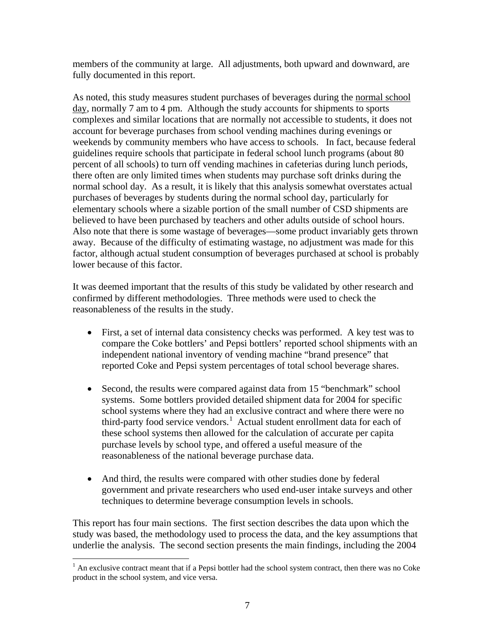members of the community at large. All adjustments, both upward and downward, are fully documented in this report.

As noted, this study measures student purchases of beverages during the normal school day, normally 7 am to 4 pm. Although the study accounts for shipments to sports complexes and similar locations that are normally not accessible to students, it does not account for beverage purchases from school vending machines during evenings or weekends by community members who have access to schools. In fact, because federal guidelines require schools that participate in federal school lunch programs (about 80 percent of all schools) to turn off vending machines in cafeterias during lunch periods, there often are only limited times when students may purchase soft drinks during the normal school day. As a result, it is likely that this analysis somewhat overstates actual purchases of beverages by students during the normal school day, particularly for elementary schools where a sizable portion of the small number of CSD shipments are believed to have been purchased by teachers and other adults outside of school hours. Also note that there is some wastage of beverages—some product invariably gets thrown away. Because of the difficulty of estimating wastage, no adjustment was made for this factor, although actual student consumption of beverages purchased at school is probably lower because of this factor.

It was deemed important that the results of this study be validated by other research and confirmed by different methodologies. Three methods were used to check the reasonableness of the results in the study.

- First, a set of internal data consistency checks was performed. A key test was to compare the Coke bottlers' and Pepsi bottlers' reported school shipments with an independent national inventory of vending machine "brand presence" that reported Coke and Pepsi system percentages of total school beverage shares.
- Second, the results were compared against data from 15 "benchmark" school systems. Some bottlers provided detailed shipment data for 2004 for specific school systems where they had an exclusive contract and where there were no third-party food service vendors.<sup>[1](#page-6-0)</sup> Actual student enrollment data for each of these school systems then allowed for the calculation of accurate per capita purchase levels by school type, and offered a useful measure of the reasonableness of the national beverage purchase data.
- And third, the results were compared with other studies done by federal government and private researchers who used end-user intake surveys and other techniques to determine beverage consumption levels in schools.

This report has four main sections. The first section describes the data upon which the study was based, the methodology used to process the data, and the key assumptions that underlie the analysis. The second section presents the main findings, including the 2004

<span id="page-6-0"></span><sup>&</sup>lt;sup>1</sup> An exclusive contract meant that if a Pepsi bottler had the school system contract, then there was no Coke product in the school system, and vice versa.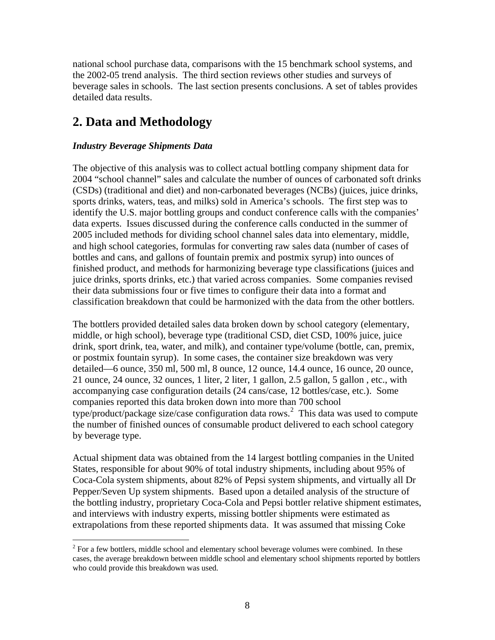national school purchase data, comparisons with the 15 benchmark school systems, and the 2002-05 trend analysis. The third section reviews other studies and surveys of beverage sales in schools. The last section presents conclusions. A set of tables provides detailed data results.

## **2. Data and Methodology**

#### *Industry Beverage Shipments Data*

 $\overline{a}$ 

The objective of this analysis was to collect actual bottling company shipment data for 2004 "school channel" sales and calculate the number of ounces of carbonated soft drinks (CSDs) (traditional and diet) and non-carbonated beverages (NCBs) (juices, juice drinks, sports drinks, waters, teas, and milks) sold in America's schools. The first step was to identify the U.S. major bottling groups and conduct conference calls with the companies' data experts. Issues discussed during the conference calls conducted in the summer of 2005 included methods for dividing school channel sales data into elementary, middle, and high school categories, formulas for converting raw sales data (number of cases of bottles and cans, and gallons of fountain premix and postmix syrup) into ounces of finished product, and methods for harmonizing beverage type classifications (juices and juice drinks, sports drinks, etc.) that varied across companies. Some companies revised their data submissions four or five times to configure their data into a format and classification breakdown that could be harmonized with the data from the other bottlers.

The bottlers provided detailed sales data broken down by school category (elementary, middle, or high school), beverage type (traditional CSD, diet CSD, 100% juice, juice drink, sport drink, tea, water, and milk), and container type/volume (bottle, can, premix, or postmix fountain syrup). In some cases, the container size breakdown was very detailed—6 ounce, 350 ml, 500 ml, 8 ounce, 12 ounce, 14.4 ounce, 16 ounce, 20 ounce, 21 ounce, 24 ounce, 32 ounces, 1 liter, 2 liter, 1 gallon, 2.5 gallon, 5 gallon , etc., with accompanying case configuration details (24 cans/case, 12 bottles/case, etc.). Some companies reported this data broken down into more than 700 school type/product/package size/case configuration data rows.<sup>[2](#page-7-0)</sup> This data was used to compute the number of finished ounces of consumable product delivered to each school category by beverage type.

Actual shipment data was obtained from the 14 largest bottling companies in the United States, responsible for about 90% of total industry shipments, including about 95% of Coca-Cola system shipments, about 82% of Pepsi system shipments, and virtually all Dr Pepper/Seven Up system shipments. Based upon a detailed analysis of the structure of the bottling industry, proprietary Coca-Cola and Pepsi bottler relative shipment estimates, and interviews with industry experts, missing bottler shipments were estimated as extrapolations from these reported shipments data. It was assumed that missing Coke

<span id="page-7-0"></span> $2^{2}$  For a few bottlers, middle school and elementary school beverage volumes were combined. In these cases, the average breakdown between middle school and elementary school shipments reported by bottlers who could provide this breakdown was used.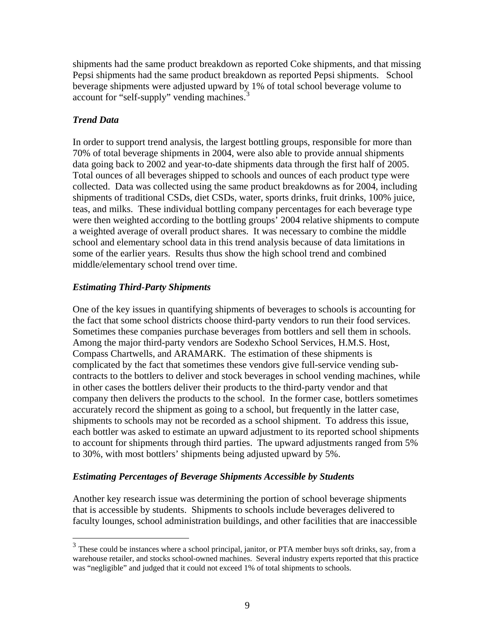shipments had the same product breakdown as reported Coke shipments, and that missing Pepsi shipments had the same product breakdown as reported Pepsi shipments. School beverage shipments were adjusted upward by 1% of total school beverage volume to account for "self-supply" vending machines.<sup>[3](#page-8-0)</sup>

#### *Trend Data*

<u>.</u>

In order to support trend analysis, the largest bottling groups, responsible for more than 70% of total beverage shipments in 2004, were also able to provide annual shipments data going back to 2002 and year-to-date shipments data through the first half of 2005. Total ounces of all beverages shipped to schools and ounces of each product type were collected. Data was collected using the same product breakdowns as for 2004, including shipments of traditional CSDs, diet CSDs, water, sports drinks, fruit drinks, 100% juice, teas, and milks. These individual bottling company percentages for each beverage type were then weighted according to the bottling groups' 2004 relative shipments to compute a weighted average of overall product shares. It was necessary to combine the middle school and elementary school data in this trend analysis because of data limitations in some of the earlier years. Results thus show the high school trend and combined middle/elementary school trend over time.

#### *Estimating Third-Party Shipments*

One of the key issues in quantifying shipments of beverages to schools is accounting for the fact that some school districts choose third-party vendors to run their food services. Sometimes these companies purchase beverages from bottlers and sell them in schools. Among the major third-party vendors are Sodexho School Services, H.M.S. Host, Compass Chartwells, and ARAMARK. The estimation of these shipments is complicated by the fact that sometimes these vendors give full-service vending subcontracts to the bottlers to deliver and stock beverages in school vending machines, while in other cases the bottlers deliver their products to the third-party vendor and that company then delivers the products to the school. In the former case, bottlers sometimes accurately record the shipment as going to a school, but frequently in the latter case, shipments to schools may not be recorded as a school shipment. To address this issue, each bottler was asked to estimate an upward adjustment to its reported school shipments to account for shipments through third parties. The upward adjustments ranged from 5% to 30%, with most bottlers' shipments being adjusted upward by 5%.

#### *Estimating Percentages of Beverage Shipments Accessible by Students*

Another key research issue was determining the portion of school beverage shipments that is accessible by students. Shipments to schools include beverages delivered to faculty lounges, school administration buildings, and other facilities that are inaccessible

<span id="page-8-0"></span> $3$  These could be instances where a school principal, janitor, or PTA member buys soft drinks, say, from a warehouse retailer, and stocks school-owned machines. Several industry experts reported that this practice was "negligible" and judged that it could not exceed 1% of total shipments to schools.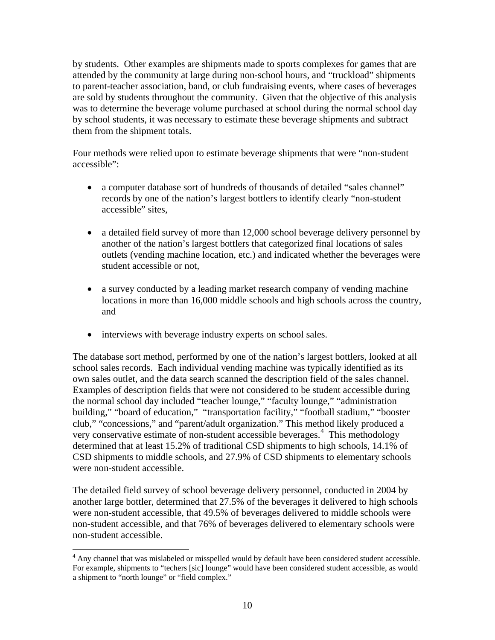by students. Other examples are shipments made to sports complexes for games that are attended by the community at large during non-school hours, and "truckload" shipments to parent-teacher association, band, or club fundraising events, where cases of beverages are sold by students throughout the community. Given that the objective of this analysis was to determine the beverage volume purchased at school during the normal school day by school students, it was necessary to estimate these beverage shipments and subtract them from the shipment totals.

Four methods were relied upon to estimate beverage shipments that were "non-student accessible":

- a computer database sort of hundreds of thousands of detailed "sales channel" records by one of the nation's largest bottlers to identify clearly "non-student accessible" sites,
- a detailed field survey of more than 12,000 school beverage delivery personnel by another of the nation's largest bottlers that categorized final locations of sales outlets (vending machine location, etc.) and indicated whether the beverages were student accessible or not,
- a survey conducted by a leading market research company of vending machine locations in more than 16,000 middle schools and high schools across the country, and
- interviews with beverage industry experts on school sales.

The database sort method, performed by one of the nation's largest bottlers, looked at all school sales records. Each individual vending machine was typically identified as its own sales outlet, and the data search scanned the description field of the sales channel. Examples of description fields that were not considered to be student accessible during the normal school day included "teacher lounge," "faculty lounge," "administration building," "board of education," "transportation facility," "football stadium," "booster club," "concessions," and "parent/adult organization." This method likely produced a very conservative estimate of non-student accessible beverages.<sup>[4](#page-9-0)</sup> This methodology determined that at least 15.2% of traditional CSD shipments to high schools, 14.1% of CSD shipments to middle schools, and 27.9% of CSD shipments to elementary schools were non-student accessible.

The detailed field survey of school beverage delivery personnel, conducted in 2004 by another large bottler, determined that 27.5% of the beverages it delivered to high schools were non-student accessible, that 49.5% of beverages delivered to middle schools were non-student accessible, and that 76% of beverages delivered to elementary schools were non-student accessible.

<span id="page-9-0"></span> $\overline{a}$ <sup>4</sup> Any channel that was mislabeled or misspelled would by default have been considered student accessible. For example, shipments to "techers [sic] lounge" would have been considered student accessible, as would a shipment to "north lounge" or "field complex."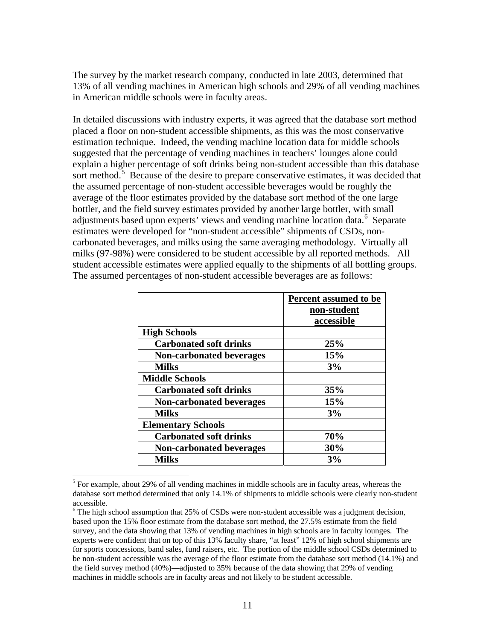The survey by the market research company, conducted in late 2003, determined that 13% of all vending machines in American high schools and 29% of all vending machines in American middle schools were in faculty areas.

In detailed discussions with industry experts, it was agreed that the database sort method placed a floor on non-student accessible shipments, as this was the most conservative estimation technique. Indeed, the vending machine location data for middle schools suggested that the percentage of vending machines in teachers' lounges alone could explain a higher percentage of soft drinks being non-student accessible than this database sort method.<sup>[5](#page-10-0)</sup> Because of the desire to prepare conservative estimates, it was decided that the assumed percentage of non-student accessible beverages would be roughly the average of the floor estimates provided by the database sort method of the one large bottler, and the field survey estimates provided by another large bottler, with small adjustments based upon experts' views and vending machine location data.<sup>[6](#page-10-1)</sup> Separate estimates were developed for "non-student accessible" shipments of CSDs, noncarbonated beverages, and milks using the same averaging methodology. Virtually all milks (97-98%) were considered to be student accessible by all reported methods. All student accessible estimates were applied equally to the shipments of all bottling groups. The assumed percentages of non-student accessible beverages are as follows:

|                                 | Percent assumed to be<br>non-student<br>accessible |
|---------------------------------|----------------------------------------------------|
| <b>High Schools</b>             |                                                    |
| <b>Carbonated soft drinks</b>   | 25%                                                |
| <b>Non-carbonated beverages</b> | 15%                                                |
| <b>Milks</b>                    | 3%                                                 |
| <b>Middle Schools</b>           |                                                    |
| <b>Carbonated soft drinks</b>   | 35%                                                |
| <b>Non-carbonated beverages</b> | 15%                                                |
| <b>Milks</b>                    | 3%                                                 |
| <b>Elementary Schools</b>       |                                                    |
| <b>Carbonated soft drinks</b>   | 70%                                                |
| <b>Non-carbonated beverages</b> | 30%                                                |
| <b>Milks</b>                    | 3%                                                 |

<span id="page-10-0"></span><sup>&</sup>lt;sup>5</sup> For example, about 29% of all vending machines in middle schools are in faculty areas, whereas the database sort method determined that only 14.1% of shipments to middle schools were clearly non-student accessible.

 $\overline{a}$ 

<span id="page-10-1"></span> $6$  The high school assumption that 25% of CSDs were non-student accessible was a judgment decision, based upon the 15% floor estimate from the database sort method, the 27.5% estimate from the field survey, and the data showing that 13% of vending machines in high schools are in faculty lounges. The experts were confident that on top of this 13% faculty share, "at least" 12% of high school shipments are for sports concessions, band sales, fund raisers, etc. The portion of the middle school CSDs determined to be non-student accessible was the average of the floor estimate from the database sort method (14.1%) and the field survey method (40%)—adjusted to 35% because of the data showing that 29% of vending machines in middle schools are in faculty areas and not likely to be student accessible.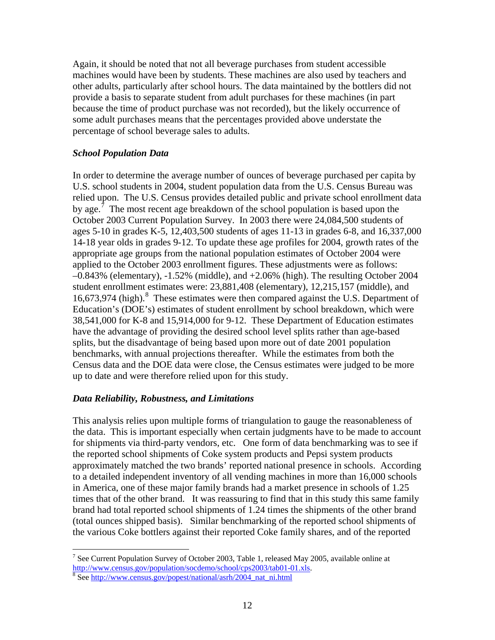Again, it should be noted that not all beverage purchases from student accessible machines would have been by students. These machines are also used by teachers and other adults, particularly after school hours. The data maintained by the bottlers did not provide a basis to separate student from adult purchases for these machines (in part because the time of product purchase was not recorded), but the likely occurrence of some adult purchases means that the percentages provided above understate the percentage of school beverage sales to adults.

#### *School Population Data*

In order to determine the average number of ounces of beverage purchased per capita by U.S. school students in 2004, student population data from the U.S. Census Bureau was relied upon. The U.S. Census provides detailed public and private school enrollment data by age.<sup>[7](#page-11-0)</sup> The most recent age breakdown of the school population is based upon the October 2003 Current Population Survey. In 2003 there were 24,084,500 students of ages 5-10 in grades K-5, 12,403,500 students of ages 11-13 in grades 6-8, and 16,337,000 14-18 year olds in grades 9-12. To update these age profiles for 2004, growth rates of the appropriate age groups from the national population estimates of October 2004 were applied to the October 2003 enrollment figures. These adjustments were as follows: –0.843% (elementary), -1.52% (middle), and +2.06% (high). The resulting October 2004 student enrollment estimates were: 23,881,408 (elementary), 12,215,157 (middle), and 16,673,974 (high).<sup>[8](#page-11-1)</sup> These estimates were then compared against the U.S. Department of Education's (DOE's) estimates of student enrollment by school breakdown, which were 38,541,000 for K-8 and 15,914,000 for 9-12. These Department of Education estimates have the advantage of providing the desired school level splits rather than age-based splits, but the disadvantage of being based upon more out of date 2001 population benchmarks, with annual projections thereafter. While the estimates from both the Census data and the DOE data were close, the Census estimates were judged to be more up to date and were therefore relied upon for this study.

#### *Data Reliability, Robustness, and Limitations*

This analysis relies upon multiple forms of triangulation to gauge the reasonableness of the data. This is important especially when certain judgments have to be made to account for shipments via third-party vendors, etc. One form of data benchmarking was to see if the reported school shipments of Coke system products and Pepsi system products approximately matched the two brands' reported national presence in schools. According to a detailed independent inventory of all vending machines in more than 16,000 schools in America, one of these major family brands had a market presence in schools of 1.25 times that of the other brand. It was reassuring to find that in this study this same family brand had total reported school shipments of 1.24 times the shipments of the other brand (total ounces shipped basis). Similar benchmarking of the reported school shipments of the various Coke bottlers against their reported Coke family shares, and of the reported

 $\overline{a}$ 

<span id="page-11-0"></span><sup>&</sup>lt;sup>7</sup> See Current Population Survey of October 2003, Table 1, released May 2005, available online at http://www.census.gov/population/socdemo/school/cps2003/tab01-01.xls.

<span id="page-11-1"></span><sup>&</sup>lt;sup>8</sup> See http://www.census.gov/popest/national/asrh/2004\_nat\_ni.html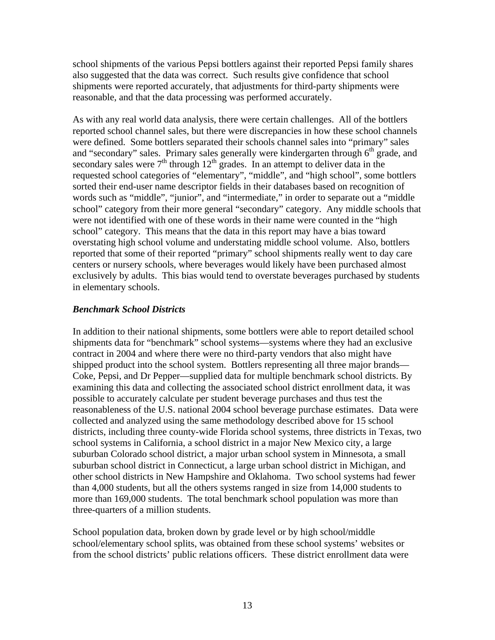school shipments of the various Pepsi bottlers against their reported Pepsi family shares also suggested that the data was correct. Such results give confidence that school shipments were reported accurately, that adjustments for third-party shipments were reasonable, and that the data processing was performed accurately.

As with any real world data analysis, there were certain challenges. All of the bottlers reported school channel sales, but there were discrepancies in how these school channels were defined. Some bottlers separated their schools channel sales into "primary" sales and "secondary" sales. Primary sales generally were kindergarten through  $6<sup>th</sup>$  grade, and secondary sales were  $7<sup>th</sup>$  through  $12<sup>th</sup>$  grades. In an attempt to deliver data in the requested school categories of "elementary", "middle", and "high school", some bottlers sorted their end-user name descriptor fields in their databases based on recognition of words such as "middle", "junior", and "intermediate," in order to separate out a "middle school" category from their more general "secondary" category. Any middle schools that were not identified with one of these words in their name were counted in the "high school" category. This means that the data in this report may have a bias toward overstating high school volume and understating middle school volume. Also, bottlers reported that some of their reported "primary" school shipments really went to day care centers or nursery schools, where beverages would likely have been purchased almost exclusively by adults. This bias would tend to overstate beverages purchased by students in elementary schools.

#### *Benchmark School Districts*

In addition to their national shipments, some bottlers were able to report detailed school shipments data for "benchmark" school systems—systems where they had an exclusive contract in 2004 and where there were no third-party vendors that also might have shipped product into the school system. Bottlers representing all three major brands— Coke, Pepsi, and Dr Pepper—supplied data for multiple benchmark school districts. By examining this data and collecting the associated school district enrollment data, it was possible to accurately calculate per student beverage purchases and thus test the reasonableness of the U.S. national 2004 school beverage purchase estimates. Data were collected and analyzed using the same methodology described above for 15 school districts, including three county-wide Florida school systems, three districts in Texas, two school systems in California, a school district in a major New Mexico city, a large suburban Colorado school district, a major urban school system in Minnesota, a small suburban school district in Connecticut, a large urban school district in Michigan, and other school districts in New Hampshire and Oklahoma. Two school systems had fewer than 4,000 students, but all the others systems ranged in size from 14,000 students to more than 169,000 students. The total benchmark school population was more than three-quarters of a million students.

School population data, broken down by grade level or by high school/middle school/elementary school splits, was obtained from these school systems' websites or from the school districts' public relations officers. These district enrollment data were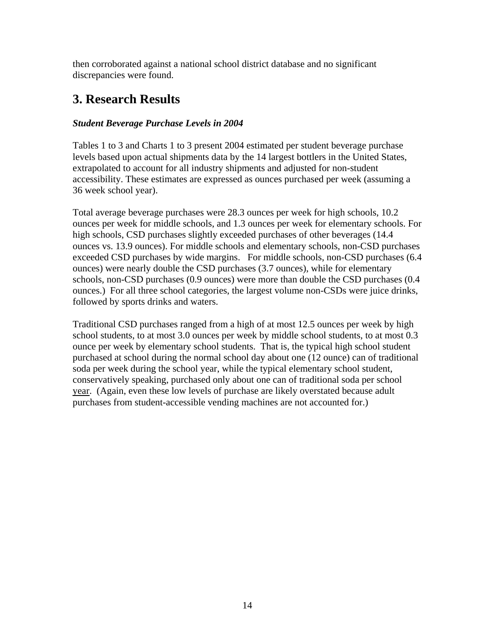then corroborated against a national school district database and no significant discrepancies were found.

## **3. Research Results**

#### *Student Beverage Purchase Levels in 2004*

Tables 1 to 3 and Charts 1 to 3 present 2004 estimated per student beverage purchase levels based upon actual shipments data by the 14 largest bottlers in the United States, extrapolated to account for all industry shipments and adjusted for non-student accessibility. These estimates are expressed as ounces purchased per week (assuming a 36 week school year).

Total average beverage purchases were 28.3 ounces per week for high schools, 10.2 ounces per week for middle schools, and 1.3 ounces per week for elementary schools. For high schools, CSD purchases slightly exceeded purchases of other beverages (14.4 ounces vs. 13.9 ounces). For middle schools and elementary schools, non-CSD purchases exceeded CSD purchases by wide margins. For middle schools, non-CSD purchases (6.4 ounces) were nearly double the CSD purchases (3.7 ounces), while for elementary schools, non-CSD purchases (0.9 ounces) were more than double the CSD purchases (0.4 ounces.) For all three school categories, the largest volume non-CSDs were juice drinks, followed by sports drinks and waters.

Traditional CSD purchases ranged from a high of at most 12.5 ounces per week by high school students, to at most 3.0 ounces per week by middle school students, to at most 0.3 ounce per week by elementary school students. That is, the typical high school student purchased at school during the normal school day about one (12 ounce) can of traditional soda per week during the school year, while the typical elementary school student, conservatively speaking, purchased only about one can of traditional soda per school year. (Again, even these low levels of purchase are likely overstated because adult purchases from student-accessible vending machines are not accounted for.)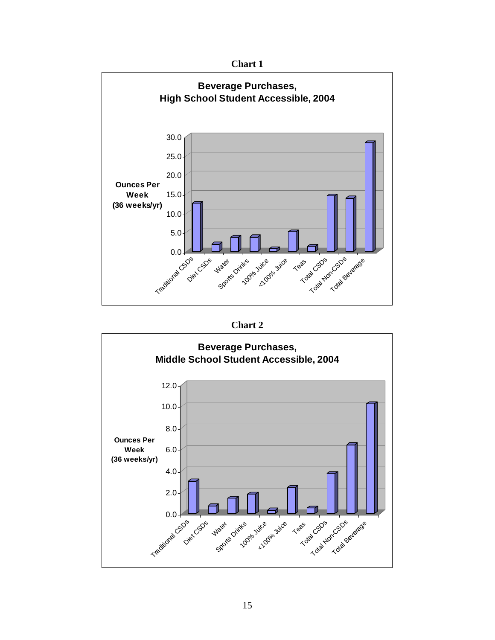





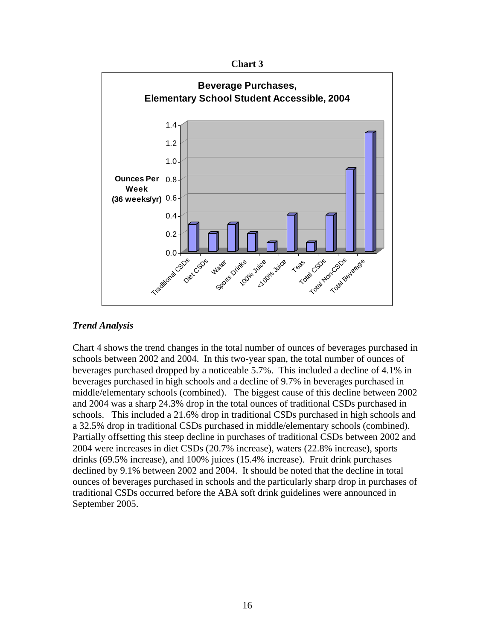



#### *Trend Analysis*

Chart 4 shows the trend changes in the total number of ounces of beverages purchased in schools between 2002 and 2004. In this two-year span, the total number of ounces of beverages purchased dropped by a noticeable 5.7%. This included a decline of 4.1% in beverages purchased in high schools and a decline of 9.7% in beverages purchased in middle/elementary schools (combined). The biggest cause of this decline between 2002 and 2004 was a sharp 24.3% drop in the total ounces of traditional CSDs purchased in schools. This included a 21.6% drop in traditional CSDs purchased in high schools and a 32.5% drop in traditional CSDs purchased in middle/elementary schools (combined). Partially offsetting this steep decline in purchases of traditional CSDs between 2002 and 2004 were increases in diet CSDs (20.7% increase), waters (22.8% increase), sports drinks (69.5% increase), and 100% juices (15.4% increase). Fruit drink purchases declined by 9.1% between 2002 and 2004. It should be noted that the decline in total ounces of beverages purchased in schools and the particularly sharp drop in purchases of traditional CSDs occurred before the ABA soft drink guidelines were announced in September 2005.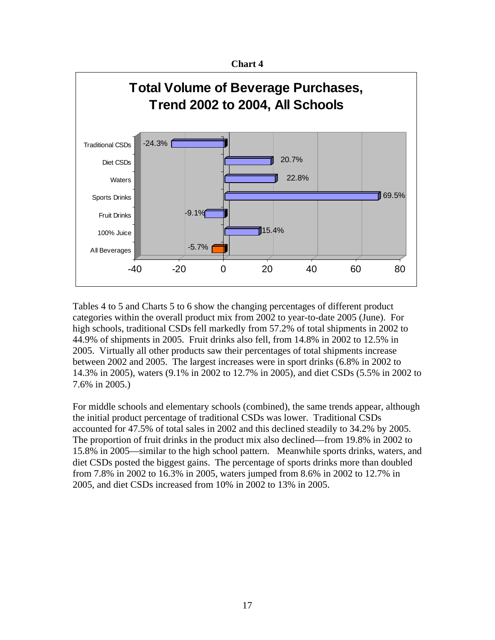



Tables 4 to 5 and Charts 5 to 6 show the changing percentages of different product categories within the overall product mix from 2002 to year-to-date 2005 (June). For high schools, traditional CSDs fell markedly from 57.2% of total shipments in 2002 to 44.9% of shipments in 2005. Fruit drinks also fell, from 14.8% in 2002 to 12.5% in 2005. Virtually all other products saw their percentages of total shipments increase between 2002 and 2005. The largest increases were in sport drinks (6.8% in 2002 to 14.3% in 2005), waters (9.1% in 2002 to 12.7% in 2005), and diet CSDs (5.5% in 2002 to 7.6% in 2005.)

For middle schools and elementary schools (combined), the same trends appear, although the initial product percentage of traditional CSDs was lower. Traditional CSDs accounted for 47.5% of total sales in 2002 and this declined steadily to 34.2% by 2005. The proportion of fruit drinks in the product mix also declined—from 19.8% in 2002 to 15.8% in 2005—similar to the high school pattern. Meanwhile sports drinks, waters, and diet CSDs posted the biggest gains. The percentage of sports drinks more than doubled from 7.8% in 2002 to 16.3% in 2005, waters jumped from 8.6% in 2002 to 12.7% in 2005, and diet CSDs increased from 10% in 2002 to 13% in 2005.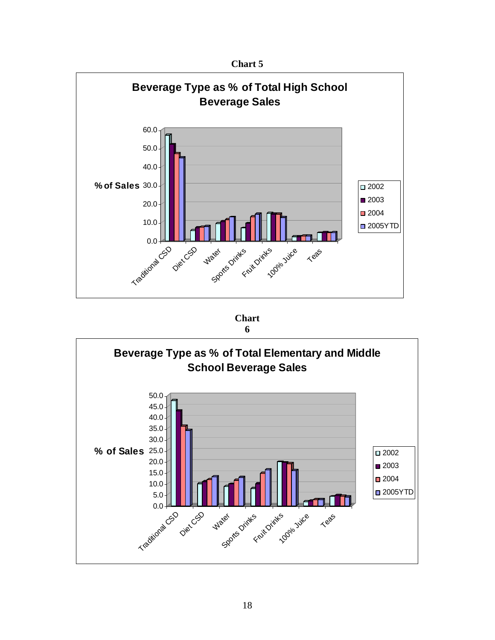

**Chart** 

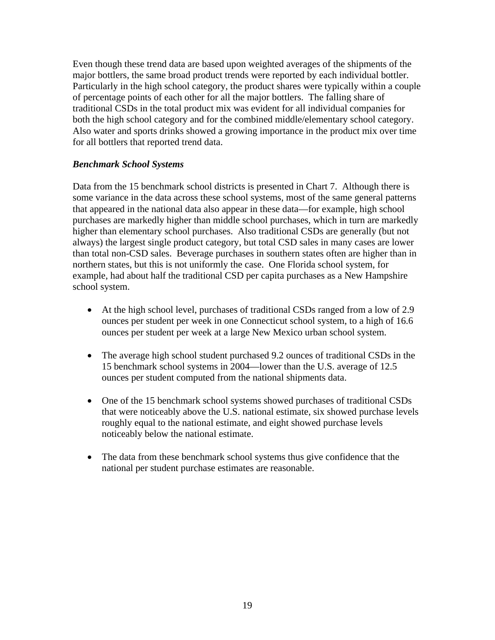Even though these trend data are based upon weighted averages of the shipments of the major bottlers, the same broad product trends were reported by each individual bottler. Particularly in the high school category, the product shares were typically within a couple of percentage points of each other for all the major bottlers. The falling share of traditional CSDs in the total product mix was evident for all individual companies for both the high school category and for the combined middle/elementary school category. Also water and sports drinks showed a growing importance in the product mix over time for all bottlers that reported trend data.

#### *Benchmark School Systems*

Data from the 15 benchmark school districts is presented in Chart 7. Although there is some variance in the data across these school systems, most of the same general patterns that appeared in the national data also appear in these data—for example, high school purchases are markedly higher than middle school purchases, which in turn are markedly higher than elementary school purchases. Also traditional CSDs are generally (but not always) the largest single product category, but total CSD sales in many cases are lower than total non-CSD sales. Beverage purchases in southern states often are higher than in northern states, but this is not uniformly the case. One Florida school system, for example, had about half the traditional CSD per capita purchases as a New Hampshire school system.

- At the high school level, purchases of traditional CSDs ranged from a low of 2.9 ounces per student per week in one Connecticut school system, to a high of 16.6 ounces per student per week at a large New Mexico urban school system.
- The average high school student purchased 9.2 ounces of traditional CSDs in the 15 benchmark school systems in 2004—lower than the U.S. average of 12.5 ounces per student computed from the national shipments data.
- One of the 15 benchmark school systems showed purchases of traditional CSDs that were noticeably above the U.S. national estimate, six showed purchase levels roughly equal to the national estimate, and eight showed purchase levels noticeably below the national estimate.
- The data from these benchmark school systems thus give confidence that the national per student purchase estimates are reasonable.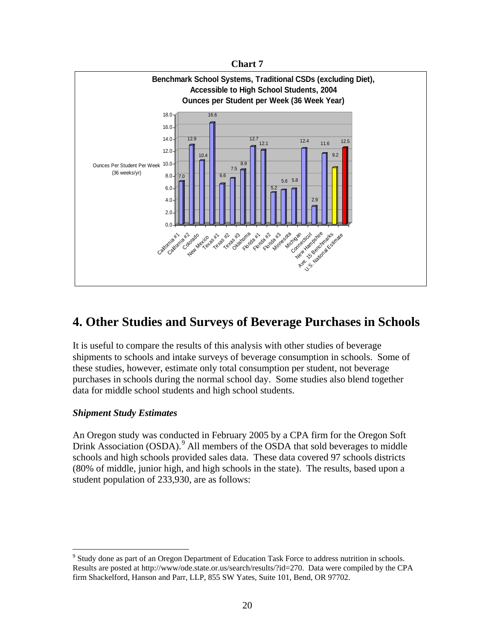



## **4. Other Studies and Surveys of Beverage Purchases in Schools**

It is useful to compare the results of this analysis with other studies of beverage shipments to schools and intake surveys of beverage consumption in schools. Some of these studies, however, estimate only total consumption per student, not beverage purchases in schools during the normal school day. Some studies also blend together data for middle school students and high school students.

#### *Shipment Study Estimates*

 $\overline{a}$ 

An Oregon study was conducted in February 2005 by a CPA firm for the Oregon Soft Drink Association (OSDA).<sup>[9](#page-19-0)</sup> All members of the OSDA that sold beverages to middle schools and high schools provided sales data. These data covered 97 schools districts (80% of middle, junior high, and high schools in the state). The results, based upon a student population of 233,930, are as follows:

<span id="page-19-0"></span><sup>&</sup>lt;sup>9</sup> Study done as part of an Oregon Department of Education Task Force to address nutrition in schools. Results are posted at http://www/ode.state.or.us/search/results/?id=270. Data were compiled by the CPA firm Shackelford, Hanson and Parr, LLP, 855 SW Yates, Suite 101, Bend, OR 97702.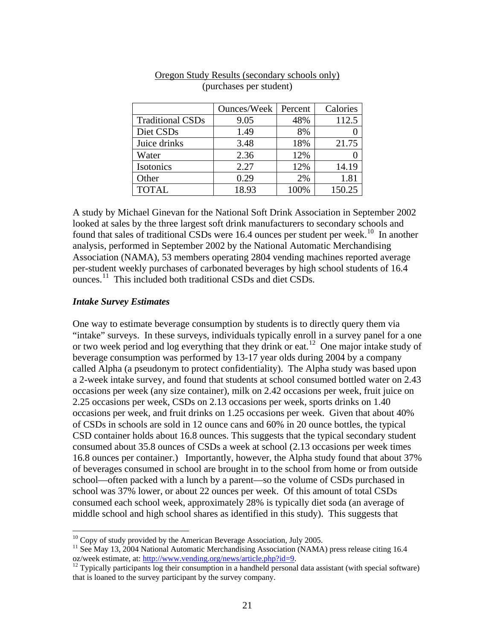|                         | <b>Ounces/Week</b> | Percent | Calories |
|-------------------------|--------------------|---------|----------|
| <b>Traditional CSDs</b> | 9.05               | 48%     | 112.5    |
| Diet CSDs               | 1.49               | 8%      |          |
| Juice drinks            | 3.48               | 18%     | 21.75    |
| Water                   | 2.36               | 12%     |          |
| Isotonics               | 2.27               | 12%     | 14.19    |
| Other                   | 0.29               | 2%      | 1.81     |
| <b>TOTAL</b>            | 18.93              | 100%    | 150.25   |

#### Oregon Study Results (secondary schools only) (purchases per student)

A study by Michael Ginevan for the National Soft Drink Association in September 2002 looked at sales by the three largest soft drink manufacturers to secondary schools and found that sales of traditional CSDs were [1](#page-20-0)6.4 ounces per student per week.<sup>10</sup> In another analysis, performed in September 2002 by the National Automatic Merchandising Association (NAMA), 53 members operating 2804 vending machines reported average per-student weekly purchases of carbonated beverages by high school students of 16.4 ounces.<sup>[11](#page-20-1)</sup> This included both traditional CSDs and diet CSDs.

#### *Intake Survey Estimates*

 $\overline{a}$ 

One way to estimate beverage consumption by students is to directly query them via "intake" surveys. In these surveys, individuals typically enroll in a survey panel for a one or two week period and log everything that they drink or eat.<sup>[1](#page-20-2)2</sup> One major intake study of beverage consumption was performed by 13-17 year olds during 2004 by a company called Alpha (a pseudonym to protect confidentiality). The Alpha study was based upon a 2-week intake survey, and found that students at school consumed bottled water on 2.43 occasions per week (any size container), milk on 2.42 occasions per week, fruit juice on 2.25 occasions per week, CSDs on 2.13 occasions per week, sports drinks on 1.40 occasions per week, and fruit drinks on 1.25 occasions per week. Given that about 40% of CSDs in schools are sold in 12 ounce cans and 60% in 20 ounce bottles, the typical CSD container holds about 16.8 ounces. This suggests that the typical secondary student consumed about 35.8 ounces of CSDs a week at school (2.13 occasions per week times 16.8 ounces per container.) Importantly, however, the Alpha study found that about 37% of beverages consumed in school are brought in to the school from home or from outside school—often packed with a lunch by a parent—so the volume of CSDs purchased in school was 37% lower, or about 22 ounces per week. Of this amount of total CSDs consumed each school week, approximately 28% is typically diet soda (an average of middle school and high school shares as identified in this study). This suggests that

 $10$  Copy of study provided by the American Beverage Association, July 2005.

<span id="page-20-1"></span><span id="page-20-0"></span><sup>&</sup>lt;sup>11</sup> See May 13, 2004 National Automatic Merchandising Association (NAMA) press release citing 16.4 oz/week estimate, at: http://www.vending.org/news/article.php?id=9.

<span id="page-20-2"></span> $^{12}$  Typically participants log their consumption in a handheld personal data assistant (with special software) that is loaned to the survey participant by the survey company.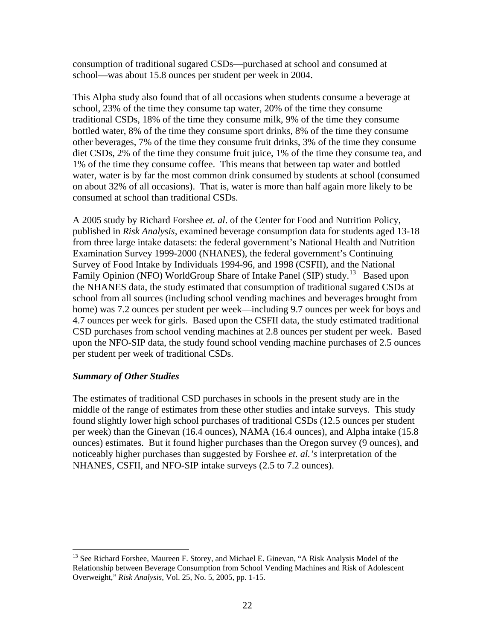consumption of traditional sugared CSDs—purchased at school and consumed at school—was about 15.8 ounces per student per week in 2004.

This Alpha study also found that of all occasions when students consume a beverage at school, 23% of the time they consume tap water, 20% of the time they consume traditional CSDs, 18% of the time they consume milk, 9% of the time they consume bottled water, 8% of the time they consume sport drinks, 8% of the time they consume other beverages, 7% of the time they consume fruit drinks, 3% of the time they consume diet CSDs, 2% of the time they consume fruit juice, 1% of the time they consume tea, and 1% of the time they consume coffee. This means that between tap water and bottled water, water is by far the most common drink consumed by students at school (consumed on about 32% of all occasions). That is, water is more than half again more likely to be consumed at school than traditional CSDs.

A 2005 study by Richard Forshee *et. al*. of the Center for Food and Nutrition Policy, published in *Risk Analysis,* examined beverage consumption data for students aged 13-18 from three large intake datasets: the federal government's National Health and Nutrition Examination Survey 1999-2000 (NHANES), the federal government's Continuing Survey of Food Intake by Individuals 1994-96, and 1998 (CSFII), and the National Family Opinion (NFO) WorldGroup Share of Intake Panel (SIP) study.<sup>[1](#page-21-0)3</sup> Based upon the NHANES data, the study estimated that consumption of traditional sugared CSDs at school from all sources (including school vending machines and beverages brought from home) was 7.2 ounces per student per week—including 9.7 ounces per week for boys and 4.7 ounces per week for girls. Based upon the CSFII data, the study estimated traditional CSD purchases from school vending machines at 2.8 ounces per student per week. Based upon the NFO-SIP data, the study found school vending machine purchases of 2.5 ounces per student per week of traditional CSDs.

#### *Summary of Other Studies*

1

The estimates of traditional CSD purchases in schools in the present study are in the middle of the range of estimates from these other studies and intake surveys. This study found slightly lower high school purchases of traditional CSDs (12.5 ounces per student per week) than the Ginevan (16.4 ounces), NAMA (16.4 ounces), and Alpha intake (15.8 ounces) estimates. But it found higher purchases than the Oregon survey (9 ounces), and noticeably higher purchases than suggested by Forshee *et. al.'s* interpretation of the NHANES, CSFII, and NFO-SIP intake surveys (2.5 to 7.2 ounces).

<span id="page-21-0"></span><sup>&</sup>lt;sup>13</sup> See Richard Forshee, Maureen F. Storey, and Michael E. Ginevan, "A Risk Analysis Model of the Relationship between Beverage Consumption from School Vending Machines and Risk of Adolescent Overweight," *Risk Analysis*, Vol. 25, No. 5, 2005, pp. 1-15.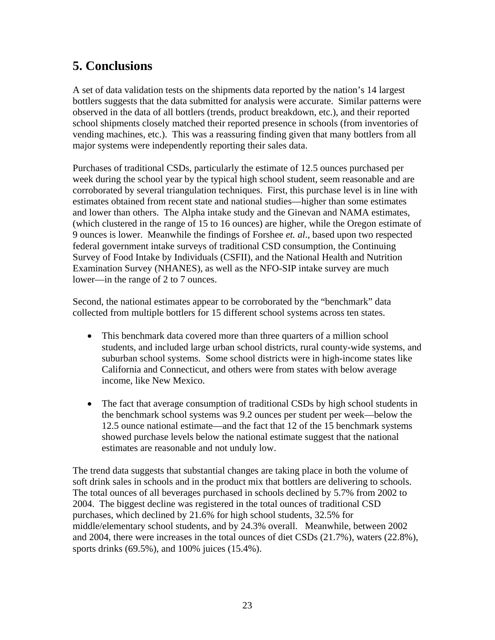# **5. Conclusions**

A set of data validation tests on the shipments data reported by the nation's 14 largest bottlers suggests that the data submitted for analysis were accurate. Similar patterns were observed in the data of all bottlers (trends, product breakdown, etc.), and their reported school shipments closely matched their reported presence in schools (from inventories of vending machines, etc.). This was a reassuring finding given that many bottlers from all major systems were independently reporting their sales data.

Purchases of traditional CSDs, particularly the estimate of 12.5 ounces purchased per week during the school year by the typical high school student, seem reasonable and are corroborated by several triangulation techniques. First, this purchase level is in line with estimates obtained from recent state and national studies—higher than some estimates and lower than others. The Alpha intake study and the Ginevan and NAMA estimates, (which clustered in the range of 15 to 16 ounces) are higher, while the Oregon estimate of 9 ounces is lower. Meanwhile the findings of Forshee *et. al*., based upon two respected federal government intake surveys of traditional CSD consumption, the Continuing Survey of Food Intake by Individuals (CSFII), and the National Health and Nutrition Examination Survey (NHANES), as well as the NFO-SIP intake survey are much lower—in the range of 2 to 7 ounces.

Second, the national estimates appear to be corroborated by the "benchmark" data collected from multiple bottlers for 15 different school systems across ten states.

- This benchmark data covered more than three quarters of a million school students, and included large urban school districts, rural county-wide systems, and suburban school systems. Some school districts were in high-income states like California and Connecticut, and others were from states with below average income, like New Mexico.
- The fact that average consumption of traditional CSDs by high school students in the benchmark school systems was 9.2 ounces per student per week—below the 12.5 ounce national estimate—and the fact that 12 of the 15 benchmark systems showed purchase levels below the national estimate suggest that the national estimates are reasonable and not unduly low.

The trend data suggests that substantial changes are taking place in both the volume of soft drink sales in schools and in the product mix that bottlers are delivering to schools. The total ounces of all beverages purchased in schools declined by 5.7% from 2002 to 2004. The biggest decline was registered in the total ounces of traditional CSD purchases, which declined by 21.6% for high school students, 32.5% for middle/elementary school students, and by 24.3% overall. Meanwhile, between 2002 and 2004, there were increases in the total ounces of diet CSDs (21.7%), waters (22.8%), sports drinks (69.5%), and 100% juices (15.4%).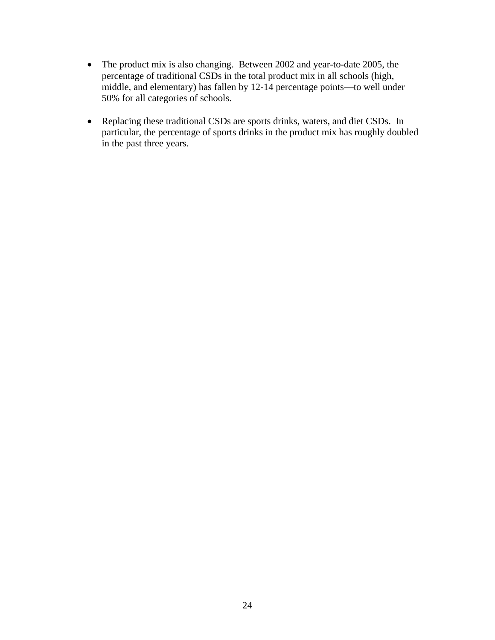- The product mix is also changing. Between 2002 and year-to-date 2005, the percentage of traditional CSDs in the total product mix in all schools (high, middle, and elementary) has fallen by 12-14 percentage points—to well under 50% for all categories of schools.
- Replacing these traditional CSDs are sports drinks, waters, and diet CSDs. In particular, the percentage of sports drinks in the product mix has roughly doubled in the past three years.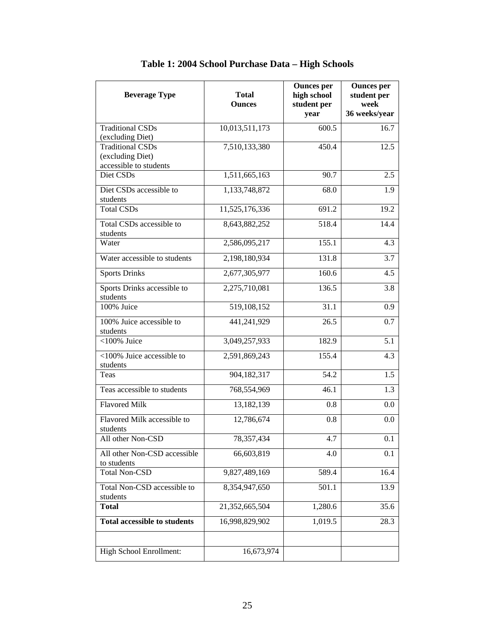| <b>Beverage Type</b>                                                  | <b>Total</b><br><b>Ounces</b> | <b>Ounces</b> per<br>high school<br>student per<br>year | <b>Ounces</b> per<br>student per<br>week<br>36 weeks/year |
|-----------------------------------------------------------------------|-------------------------------|---------------------------------------------------------|-----------------------------------------------------------|
| <b>Traditional CSDs</b><br>(excluding Diet)                           | 10,013,511,173                | 600.5                                                   | 16.7                                                      |
| <b>Traditional CSDs</b><br>(excluding Diet)<br>accessible to students | 7,510,133,380                 | 450.4                                                   | 12.5                                                      |
| Diet CSDs                                                             | 1,511,665,163                 | 90.7                                                    | 2.5                                                       |
| Diet CSDs accessible to<br>students                                   | 1,133,748,872                 | 68.0                                                    | 1.9                                                       |
| <b>Total CSDs</b>                                                     | 11,525,176,336                | 691.2                                                   | 19.2                                                      |
| Total CSDs accessible to<br>students                                  | 8,643,882,252                 | 518.4                                                   | 14.4                                                      |
| Water                                                                 | 2,586,095,217                 | 155.1                                                   | 4.3                                                       |
| Water accessible to students                                          | 2,198,180,934                 | 131.8                                                   | 3.7                                                       |
| Sports Drinks                                                         | 2,677,305,977                 | 160.6                                                   | 4.5                                                       |
| Sports Drinks accessible to<br>students                               | 2,275,710,081                 | 136.5                                                   | 3.8                                                       |
| 100% Juice                                                            | 519,108,152                   | 31.1                                                    | 0.9                                                       |
| 100% Juice accessible to<br>students                                  | 441,241,929                   | 26.5                                                    | 0.7                                                       |
| $<$ 100% Juice                                                        | 3,049,257,933                 | 182.9                                                   | 5.1                                                       |
| <100% Juice accessible to<br>students                                 | 2,591,869,243                 | 155.4                                                   | 4.3                                                       |
| Teas                                                                  | 904,182,317                   | 54.2                                                    | 1.5                                                       |
| Teas accessible to students                                           | 768,554,969                   | 46.1                                                    | 1.3                                                       |
| <b>Flavored Milk</b>                                                  | 13,182,139                    | 0.8                                                     | 0.0                                                       |
| Flavored Milk accessible to<br>students                               | 12,786,674                    | 0.8                                                     | 0.0                                                       |
| All other Non-CSD                                                     | 78,357,434                    | 4.7                                                     | 0.1                                                       |
| All other Non-CSD accessible<br>to students                           | 66,603,819                    | 4.0                                                     | 0.1                                                       |
| <b>Total Non-CSD</b>                                                  | 9,827,489,169                 | 589.4                                                   | 16.4                                                      |
| Total Non-CSD accessible to<br>students                               | 8,354,947,650                 | 501.1                                                   | 13.9                                                      |
| <b>Total</b>                                                          | 21,352,665,504                | 1,280.6                                                 | 35.6                                                      |
| <b>Total accessible to students</b>                                   | 16,998,829,902                | 1,019.5                                                 | 28.3                                                      |
| High School Enrollment:                                               | 16,673,974                    |                                                         |                                                           |

**Table 1: 2004 School Purchase Data – High Schools**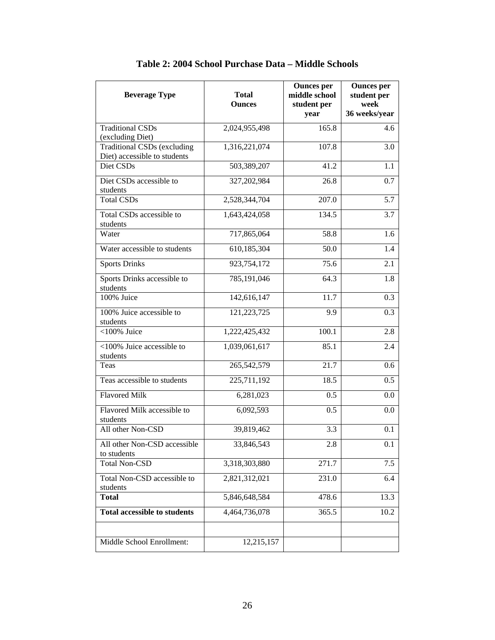| <b>Beverage Type</b>                        | <b>Total</b><br><b>Ounces</b> | <b>Ounces</b> per<br>middle school<br>student per<br>year | <b>Ounces</b> per<br>student per<br>week<br>36 weeks/year |
|---------------------------------------------|-------------------------------|-----------------------------------------------------------|-----------------------------------------------------------|
| <b>Traditional CSDs</b>                     | 2,024,955,498                 | 165.8                                                     | 4.6                                                       |
| (excluding Diet)                            |                               |                                                           |                                                           |
| <b>Traditional CSDs (excluding</b>          | 1,316,221,074                 | 107.8                                                     | 3.0                                                       |
| Diet) accessible to students                |                               |                                                           |                                                           |
| Diet CSDs                                   | 503,389,207                   | 41.2                                                      | 1.1                                                       |
| Diet CSDs accessible to                     | 327,202,984                   | 26.8                                                      | 0.7                                                       |
| students                                    |                               |                                                           |                                                           |
| <b>Total CSDs</b>                           | 2,528,344,704                 | 207.0                                                     | 5.7                                                       |
| Total CSDs accessible to<br>students        | 1,643,424,058                 | 134.5                                                     | 3.7                                                       |
| Water                                       | 717,865,064                   | 58.8                                                      | 1.6                                                       |
| Water accessible to students                | 610,185,304                   | 50.0                                                      | 1.4                                                       |
| <b>Sports Drinks</b>                        | 923,754,172                   | 75.6                                                      | 2.1                                                       |
| Sports Drinks accessible to<br>students     | 785,191,046                   | 64.3                                                      | 1.8                                                       |
| 100% Juice                                  | 142,616,147                   | 11.7                                                      | 0.3                                                       |
| 100% Juice accessible to<br>students        | 121,223,725                   | 9.9                                                       | 0.3                                                       |
| $<$ 100% Juice                              | 1,222,425,432                 | 100.1                                                     | 2.8                                                       |
| <100% Juice accessible to<br>students       | 1,039,061,617                 | 85.1                                                      | 2.4                                                       |
| Teas                                        | 265,542,579                   | 21.7                                                      | 0.6                                                       |
| Teas accessible to students                 | 225,711,192                   | 18.5                                                      | 0.5                                                       |
| Flavored Milk                               | 6,281,023                     | 0.5                                                       | 0.0                                                       |
| Flavored Milk accessible to<br>students     | 6,092,593                     | 0.5                                                       | 0.0                                                       |
| All other Non-CSD                           | 39,819,462                    | 3.3                                                       | 0.1                                                       |
| All other Non-CSD accessible<br>to students | 33,846,543                    | 2.8                                                       | 0.1                                                       |
| <b>Total Non-CSD</b>                        | 3,318,303,880                 | 271.7                                                     | 7.5                                                       |
| Total Non-CSD accessible to<br>students     | 2,821,312,021                 | 231.0                                                     | 6.4                                                       |
| <b>Total</b>                                | 5,846,648,584                 | 478.6                                                     | 13.3                                                      |
| <b>Total accessible to students</b>         | 4,464,736,078                 | 365.5                                                     | 10.2                                                      |
|                                             |                               |                                                           |                                                           |
| Middle School Enrollment:                   | 12,215,157                    |                                                           |                                                           |

| Table 2: 2004 School Purchase Data – Middle Schools |
|-----------------------------------------------------|
|-----------------------------------------------------|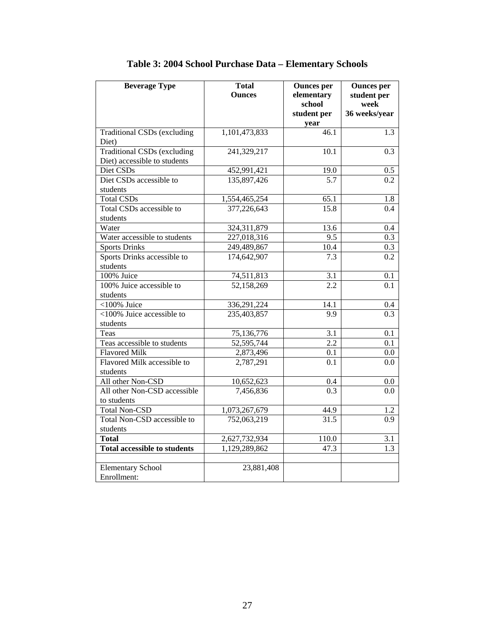| <b>Beverage Type</b>                | <b>Total</b>  | <b>Ounces per</b> | <b>Ounces</b> per |
|-------------------------------------|---------------|-------------------|-------------------|
|                                     | <b>Ounces</b> | elementary        | student per       |
|                                     |               | school            | week              |
|                                     |               | student per       | 36 weeks/year     |
|                                     |               | year              |                   |
| <b>Traditional CSDs (excluding</b>  | 1,101,473,833 | 46.1              | 1.3               |
| Diet)                               |               |                   |                   |
| <b>Traditional CSDs (excluding</b>  | 241,329,217   | 10.1              | 0.3               |
| Diet) accessible to students        |               |                   |                   |
| Diet CSDs                           | 452,991,421   | 19.0              | 0.5               |
| Diet CSDs accessible to             | 135,897,426   | 5.7               | 0.2               |
| students                            |               |                   |                   |
| <b>Total CSDs</b>                   | 1,554,465,254 | 65.1              | 1.8               |
| Total CSDs accessible to            | 377,226,643   | 15.8              | 0.4               |
| students                            |               |                   |                   |
| Water                               | 324,311,879   | 13.6              | 0.4               |
| Water accessible to students        | 227,018,316   | 9.5               | 0.3               |
| <b>Sports Drinks</b>                | 249,489,867   | 10.4              | 0.3               |
| Sports Drinks accessible to         | 174,642,907   | 7.3               | 0.2               |
| students                            |               |                   |                   |
| 100% Juice                          | 74,511,813    | 3.1               | 0.1               |
| 100% Juice accessible to            | 52,158,269    | 2.2               | 0.1               |
| students                            |               |                   |                   |
| $<$ 100% Juice                      | 336,291,224   | 14.1              | 0.4               |
| <100% Juice accessible to           | 235,403,857   | 9.9               | 0.3               |
| students                            |               |                   |                   |
| Teas                                | 75,136,776    | 3.1               | 0.1               |
| Teas accessible to students         | 52,595,744    | 2.2               | 0.1               |
| <b>Flavored Milk</b>                | 2,873,496     | 0.1               | 0.0               |
| Flavored Milk accessible to         | 2,787,291     | 0.1               | 0.0               |
| students                            |               |                   |                   |
| All other Non-CSD                   | 10,652,623    | 0.4               | 0.0               |
| All other Non-CSD accessible        | 7,456,836     | $\overline{0.3}$  | 0.0               |
| to students                         |               |                   |                   |
| <b>Total Non-CSD</b>                | 1,073,267,679 | 44.9              | 1.2               |
| <b>Total Non-CSD accessible to</b>  | 752,063,219   | 31.5              | 0.9               |
| students                            |               |                   |                   |
| <b>Total</b>                        | 2,627,732,934 | 110.0             | 3.1               |
| <b>Total accessible to students</b> | 1,129,289,862 | 47.3              | 1.3               |
|                                     |               |                   |                   |
| <b>Elementary School</b>            | 23,881,408    |                   |                   |
| Enrollment:                         |               |                   |                   |

### **Table 3: 2004 School Purchase Data – Elementary Schools**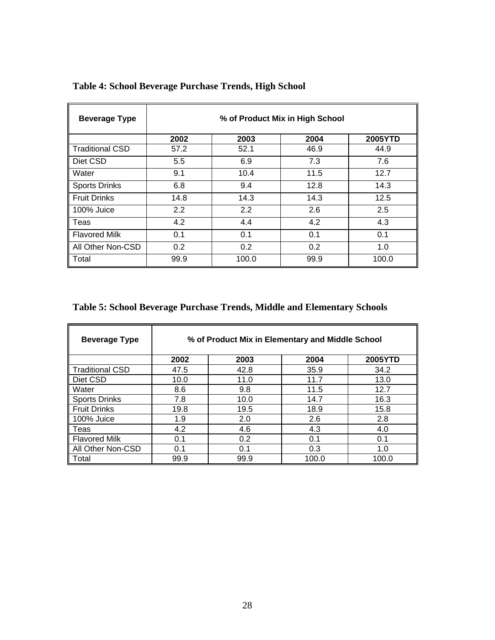| <b>Beverage Type</b>   | % of Product Mix in High School |       |      |         |
|------------------------|---------------------------------|-------|------|---------|
|                        | 2002                            | 2003  | 2004 | 2005YTD |
| <b>Traditional CSD</b> | 57.2                            | 52.1  | 46.9 | 44.9    |
| Diet CSD               | 5.5                             | 6.9   | 7.3  | 7.6     |
| Water                  | 9.1                             | 10.4  | 11.5 | 12.7    |
| <b>Sports Drinks</b>   | 6.8                             | 9.4   | 12.8 | 14.3    |
| <b>Fruit Drinks</b>    | 14.8                            | 14.3  | 14.3 | 12.5    |
| 100% Juice             | 2.2                             | 2.2   | 2.6  | 2.5     |
| Teas                   | 4.2                             | 4.4   | 4.2  | 4.3     |
| <b>Flavored Milk</b>   | 0.1                             | 0.1   | 0.1  | 0.1     |
| All Other Non-CSD      | 0.2                             | 0.2   | 0.2  | 1.0     |
| Total                  | 99.9                            | 100.0 | 99.9 | 100.0   |

### **Table 4: School Beverage Purchase Trends, High School**

#### **Table 5: School Beverage Purchase Trends, Middle and Elementary Schools**

| <b>Beverage Type</b> | % of Product Mix in Elementary and Middle School |      |       |                |
|----------------------|--------------------------------------------------|------|-------|----------------|
|                      | 2002                                             | 2003 | 2004  | <b>2005YTD</b> |
| Traditional CSD      | 47.5                                             | 42.8 | 35.9  | 34.2           |
| ∥ Diet CSD           | 10.0                                             | 11.0 | 11.7  | 13.0           |
| Water                | 8.6                                              | 9.8  | 11.5  | 12.7           |
| Sports Drinks        | 7.8                                              | 10.0 | 14.7  | 16.3           |
| ∥ Fruit Drinks       | 19.8                                             | 19.5 | 18.9  | 15.8           |
| 100% Juice           | 1.9                                              | 2.0  | 2.6   | 2.8            |
| ∥ Teas               | 4.2                                              | 4.6  | 4.3   | 4.0            |
| <b>Flavored Milk</b> | 0.1                                              | 0.2  | 0.1   | 0.1            |
| All Other Non-CSD    | 0.1                                              | 0.1  | 0.3   | 1.0            |
| ll Total             | 99.9                                             | 99.9 | 100.0 | 100.0          |